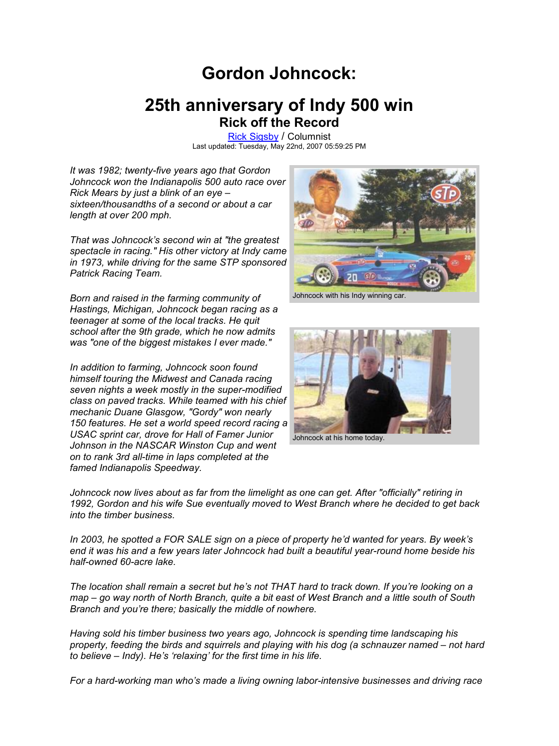# **Gordon Johncock:**

# **25th anniversary of Indy 500 win Rick off the Record**

Rick Sigsby / Columnist Last updated: Tuesday, May 22nd, 2007 05:59:25 PM

*It was 1982; twenty-five years ago that Gordon Johncock won the Indianapolis 500 auto race over Rick Mears by just a blink of an eye – sixteen/thousandths of a second or about a car length at over 200 mph.*

*That was Johncock's second win at "the greatest spectacle in racing." His other victory at Indy came in 1973, while driving for the same STP sponsored Patrick Racing Team.*

*Born and raised in the farming community of Hastings, Michigan, Johncock began racing as a teenager at some of the local tracks. He quit school after the 9th grade, which he now admits was "one of the biggest mistakes I ever made."*

*In addition to farming, Johncock soon found himself touring the Midwest and Canada racing seven nights a week mostly in the super-modified class on paved tracks. While teamed with his chief mechanic Duane Glasgow, "Gordy" won nearly 150 features. He set a world speed record racing a USAC sprint car, drove for Hall of Famer Junior Johnson in the NASCAR Winston Cup and went on to rank 3rd all-time in laps completed at the famed Indianapolis Speedway.*

*into the timber business.*



Johncock with his Indy winning car.



*Johncock now lives about as far from the limelight as one can get. After "officially" retiring in 1992, Gordon and his wife Sue eventually moved to West Branch where he decided to get back*

*In 2003, he spotted a FOR SALE sign on a piece of property he'd wanted for years. By week's end it was his and a few years later Johncock had built a beautiful year-round home beside his half-owned 60-acre lake.*

*The location shall remain a secret but he's not THAT hard to track down. If you're looking on a map – go way north of North Branch, quite a bit east of West Branch and a little south of South Branch and you're there; basically the middle of nowhere.*

*Having sold his timber business two years ago, Johncock is spending time landscaping his property, feeding the birds and squirrels and playing with his dog (a schnauzer named – not hard to believe – Indy). He's 'relaxing' for the first time in his life.*

*For a hard-working man who's made a living owning labor-intensive businesses and driving race*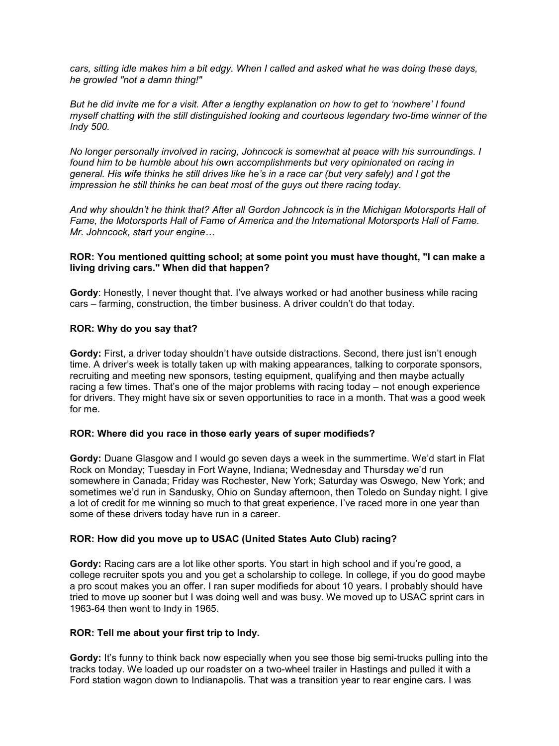*cars, sitting idle makes him a bit edgy. When I called and asked what he was doing these days, he growled "not a damn thing!"*

*But he did invite me for a visit. After a lengthy explanation on how to get to 'nowhere' I found myself chatting with the still distinguished looking and courteous legendary two-time winner of the Indy 500.*

*No longer personally involved in racing, Johncock is somewhat at peace with his surroundings. I found him to be humble about his own accomplishments but very opinionated on racing in general. His wife thinks he still drives like he's in a race car (but very safely) and I got the impression he still thinks he can beat most of the guys out there racing today.*

*And why shouldn't he think that? After all Gordon Johncock is in the Michigan Motorsports Hall of Fame, the Motorsports Hall of Fame of America and the International Motorsports Hall of Fame. Mr. Johncock, start your engine…*

#### **ROR: You mentioned quitting school; at some point you must have thought, "I can make a living driving cars." When did that happen?**

**Gordy**: Honestly, I never thought that. I've always worked or had another business while racing cars – farming, construction, the timber business. A driver couldn't do that today.

#### **ROR: Why do you say that?**

**Gordy:** First, a driver today shouldn't have outside distractions. Second, there just isn't enough time. A driver's week is totally taken up with making appearances, talking to corporate sponsors, recruiting and meeting new sponsors, testing equipment, qualifying and then maybe actually racing a few times. That's one of the major problems with racing today – not enough experience for drivers. They might have six or seven opportunities to race in a month. That was a good week for me.

#### **ROR: Where did you race in those early years of super modifieds?**

**Gordy:** Duane Glasgow and I would go seven days a week in the summertime. We'd start in Flat Rock on Monday; Tuesday in Fort Wayne, Indiana; Wednesday and Thursday we'd run somewhere in Canada; Friday was Rochester, New York; Saturday was Oswego, New York; and sometimes we'd run in Sandusky, Ohio on Sunday afternoon, then Toledo on Sunday night. I give a lot of credit for me winning so much to that great experience. I've raced more in one year than some of these drivers today have run in a career.

# **ROR: How did you move up to USAC (United States Auto Club) racing?**

**Gordy:** Racing cars are a lot like other sports. You start in high school and if you're good, a college recruiter spots you and you get a scholarship to college. In college, if you do good maybe a pro scout makes you an offer. I ran super modifieds for about 10 years. I probably should have tried to move up sooner but I was doing well and was busy. We moved up to USAC sprint cars in 1963-64 then went to Indy in 1965.

#### **ROR: Tell me about your first trip to Indy.**

**Gordy:** It's funny to think back now especially when you see those big semi-trucks pulling into the tracks today. We loaded up our roadster on a two-wheel trailer in Hastings and pulled it with a Ford station wagon down to Indianapolis. That was a transition year to rear engine cars. I was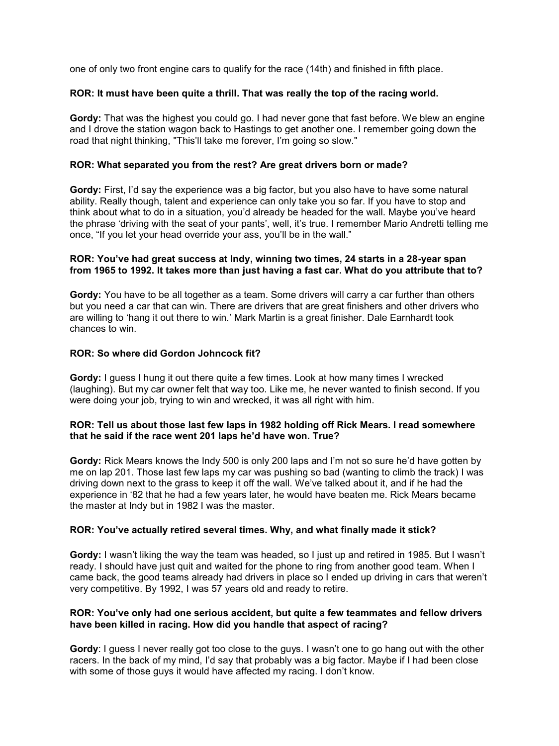one of only two front engine cars to qualify for the race (14th) and finished in fifth place.

#### **ROR: It must have been quite a thrill. That was really the top of the racing world.**

**Gordy:** That was the highest you could go. I had never gone that fast before. We blew an engine and I drove the station wagon back to Hastings to get another one. I remember going down the road that night thinking, "This'll take me forever, I'm going so slow."

#### **ROR: What separated you from the rest? Are great drivers born or made?**

**Gordy:** First, I'd say the experience was a big factor, but you also have to have some natural ability. Really though, talent and experience can only take you so far. If you have to stop and think about what to do in a situation, you'd already be headed for the wall. Maybe you've heard the phrase 'driving with the seat of your pants', well, it's true. I remember Mario Andretti telling me once, "If you let your head override your ass, you'll be in the wall."

#### **ROR: You've had great success at Indy, winning two times, 24 starts in a 28-year span from 1965 to 1992. It takes more than just having a fast car. What do you attribute that to?**

**Gordy:** You have to be all together as a team. Some drivers will carry a car further than others but you need a car that can win. There are drivers that are great finishers and other drivers who are willing to 'hang it out there to win.' Mark Martin is a great finisher. Dale Earnhardt took chances to win.

### **ROR: So where did Gordon Johncock fit?**

**Gordy:** I guess I hung it out there quite a few times. Look at how many times I wrecked (laughing). But my car owner felt that way too. Like me, he never wanted to finish second. If you were doing your job, trying to win and wrecked, it was all right with him.

#### **ROR: Tell us about those last few laps in 1982 holding off Rick Mears. I read somewhere that he said if the race went 201 laps he'd have won. True?**

**Gordy:** Rick Mears knows the Indy 500 is only 200 laps and I'm not so sure he'd have gotten by me on lap 201. Those last few laps my car was pushing so bad (wanting to climb the track) I was driving down next to the grass to keep it off the wall. We've talked about it, and if he had the experience in '82 that he had a few years later, he would have beaten me. Rick Mears became the master at Indy but in 1982 I was the master.

#### **ROR: You've actually retired several times. Why, and what finally made it stick?**

**Gordy:** I wasn't liking the way the team was headed, so I just up and retired in 1985. But I wasn't ready. I should have just quit and waited for the phone to ring from another good team. When I came back, the good teams already had drivers in place so I ended up driving in cars that weren't very competitive. By 1992, I was 57 years old and ready to retire.

#### **ROR: You've only had one serious accident, but quite a few teammates and fellow drivers have been killed in racing. How did you handle that aspect of racing?**

**Gordy**: I guess I never really got too close to the guys. I wasn't one to go hang out with the other racers. In the back of my mind, I'd say that probably was a big factor. Maybe if I had been close with some of those guys it would have affected my racing. I don't know.